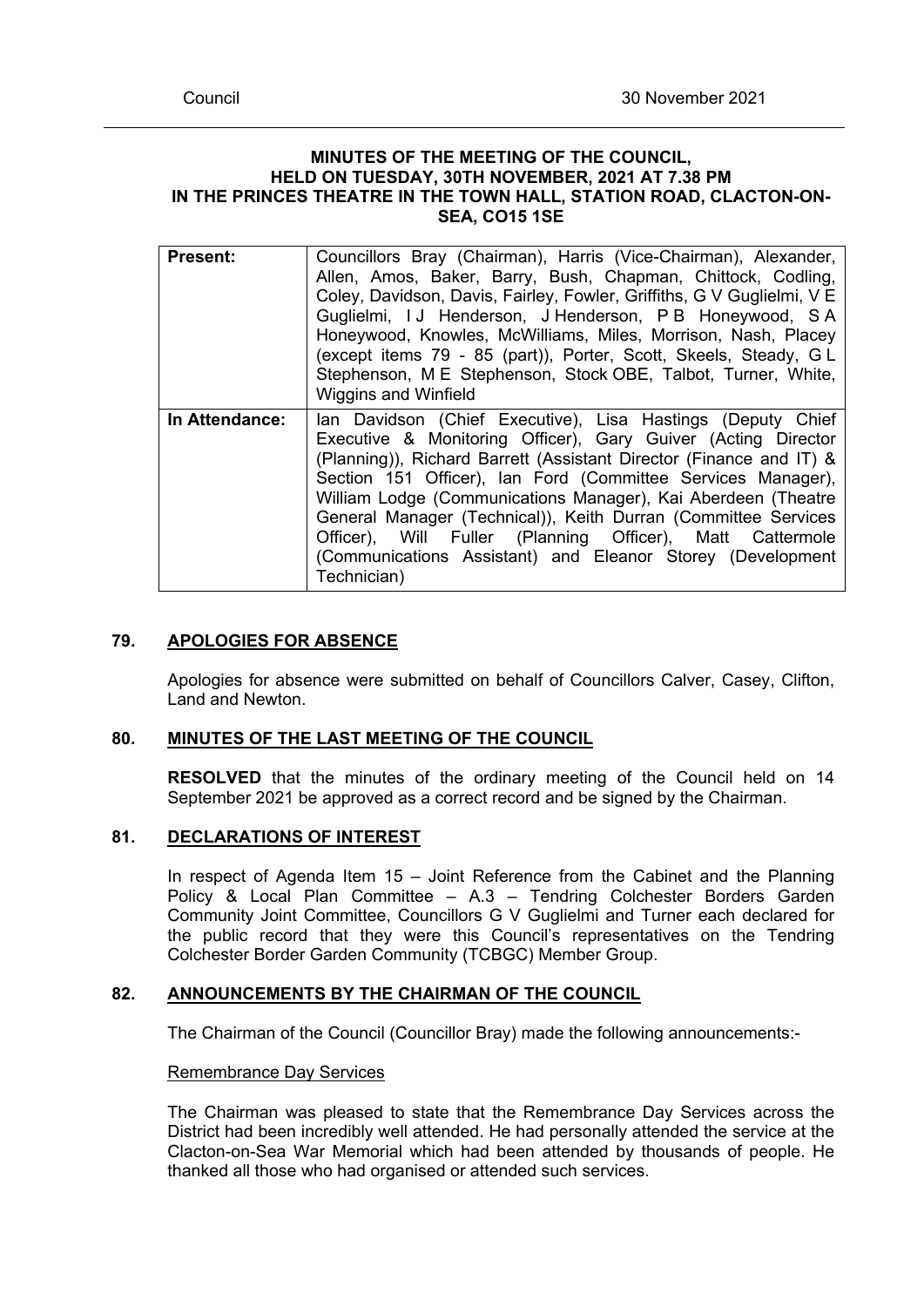### **MINUTES OF THE MEETING OF THE COUNCIL, HELD ON TUESDAY, 30TH NOVEMBER, 2021 AT 7.38 PM IN THE PRINCES THEATRE IN THE TOWN HALL, STATION ROAD, CLACTON-ON-SEA, CO15 1SE**

| <b>Present:</b> | Councillors Bray (Chairman), Harris (Vice-Chairman), Alexander,<br>Allen, Amos, Baker, Barry, Bush, Chapman, Chittock, Codling,<br>Coley, Davidson, Davis, Fairley, Fowler, Griffiths, G V Guglielmi, V E<br>Guglielmi, IJ Henderson, J Henderson, P B Honeywood, S A<br>Honeywood, Knowles, McWilliams, Miles, Morrison, Nash, Placey<br>(except items 79 - 85 (part)), Porter, Scott, Skeels, Steady, GL<br>Stephenson, M E Stephenson, Stock OBE, Talbot, Turner, White,<br><b>Wiggins and Winfield</b>                                       |
|-----------------|--------------------------------------------------------------------------------------------------------------------------------------------------------------------------------------------------------------------------------------------------------------------------------------------------------------------------------------------------------------------------------------------------------------------------------------------------------------------------------------------------------------------------------------------------|
| In Attendance:  | Ian Davidson (Chief Executive), Lisa Hastings (Deputy Chief<br>Executive & Monitoring Officer), Gary Guiver (Acting Director<br>(Planning)), Richard Barrett (Assistant Director (Finance and IT) &<br>Section 151 Officer), Ian Ford (Committee Services Manager),<br>William Lodge (Communications Manager), Kai Aberdeen (Theatre<br>General Manager (Technical)), Keith Durran (Committee Services<br>Officer), Will Fuller (Planning Officer), Matt Cattermole<br>(Communications Assistant) and Eleanor Storey (Development<br>Technician) |

# **79. APOLOGIES FOR ABSENCE**

Apologies for absence were submitted on behalf of Councillors Calver, Casey, Clifton, Land and Newton.

### **80. MINUTES OF THE LAST MEETING OF THE COUNCIL**

**RESOLVED** that the minutes of the ordinary meeting of the Council held on 14 September 2021 be approved as a correct record and be signed by the Chairman.

### **81. DECLARATIONS OF INTEREST**

In respect of Agenda Item  $15 -$  Joint Reference from the Cabinet and the Planning Policy & Local Plan Committee – A.3 – Tendring Colchester Borders Garden Community Joint Committee, Councillors G V Guglielmi and Turner each declared for the public record that they were this Council's representatives on the Tendring Colchester Border Garden Community (TCBGC) Member Group.

### **82. ANNOUNCEMENTS BY THE CHAIRMAN OF THE COUNCIL**

The Chairman of the Council (Councillor Bray) made the following announcements:-

### Remembrance Day Services

The Chairman was pleased to state that the Remembrance Day Services across the District had been incredibly well attended. He had personally attended the service at the Clacton-on-Sea War Memorial which had been attended by thousands of people. He thanked all those who had organised or attended such services.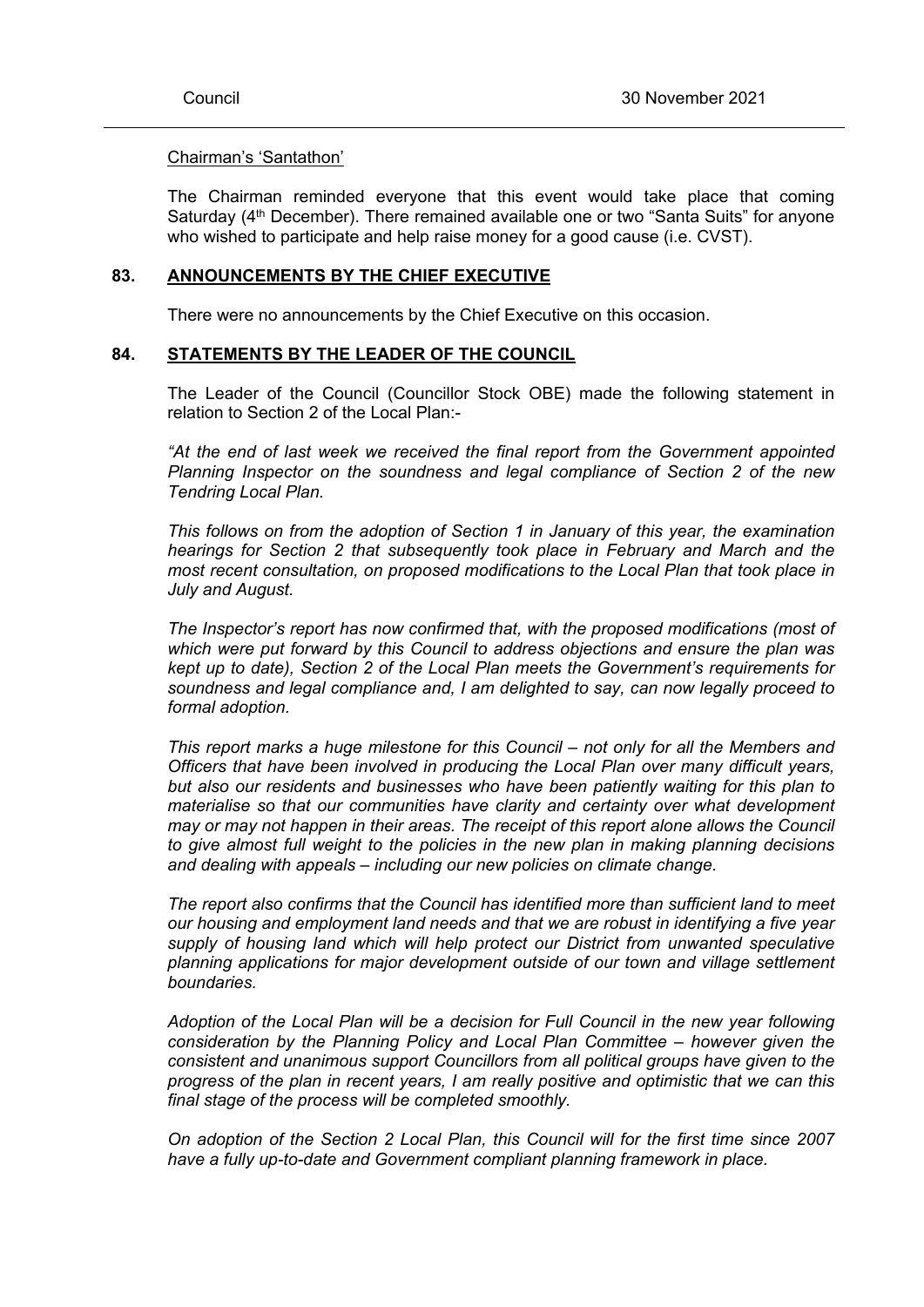### Chairman's 'Santathon'

The Chairman reminded everyone that this event would take place that coming Saturday  $(4<sup>th</sup>$  December). There remained available one or two "Santa Suits" for anyone who wished to participate and help raise money for a good cause (i.e. CVST).

#### **83. ANNOUNCEMENTS BY THE CHIEF EXECUTIVE**

There were no announcements by the Chief Executive on this occasion.

#### **84. STATEMENTS BY THE LEADER OF THE COUNCIL**

The Leader of the Council (Councillor Stock OBE) made the following statement in relation to Section 2 of the Local Plan:-

*"At the end of last week we received the final report from the Government appointed Planning Inspector on the soundness and legal compliance of Section 2 of the new Tendring Local Plan.*

*This follows on from the adoption of Section 1 in January of this year, the examination hearings for Section 2 that subsequently took place in February and March and the most recent consultation, on proposed modifications to the Local Plan that took place in July and August.*

*The Inspector's report has now confirmed that, with the proposed modifications (most of which were put forward by this Council to address objections and ensure the plan was kept up to date), Section 2 of the Local Plan meets the Government's requirements for soundness and legal compliance and, I am delighted to say, can now legally proceed to formal adoption.*

*This report marks a huge milestone for this Council – not only for all the Members and Officers that have been involved in producing the Local Plan over many difficult years, but also our residents and businesses who have been patiently waiting for this plan to materialise so that our communities have clarity and certainty over what development may or may not happen in their areas. The receipt of this report alone allows the Council to give almost full weight to the policies in the new plan in making planning decisions and dealing with appeals – including our new policies on climate change.*

*The report also confirms that the Council has identified more than sufficient land to meet our housing and employment land needs and that we are robust in identifying a five year supply of housing land which will help protect our District from unwanted speculative planning applications for major development outside of our town and village settlement boundaries.*

*Adoption of the Local Plan will be a decision for Full Council in the new year following consideration by the Planning Policy and Local Plan Committee – however given the consistent and unanimous support Councillors from all political groups have given to the progress of the plan in recent years, I am really positive and optimistic that we can this final stage of the process will be completed smoothly.*

*On adoption of the Section 2 Local Plan, this Council will for the first time since 2007 have a fully up-to-date and Government compliant planning framework in place.*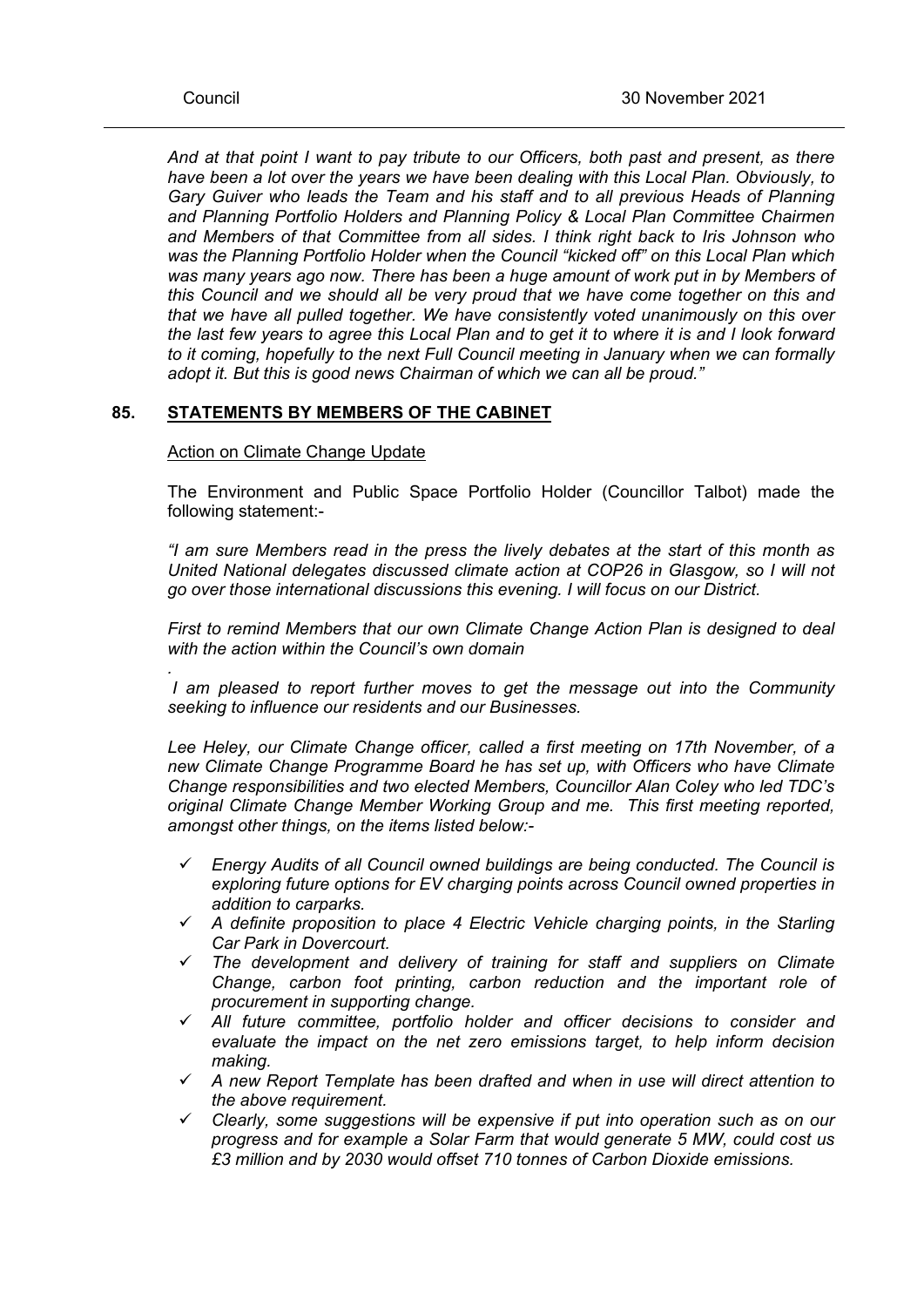*.*

*And at that point I want to pay tribute to our Officers, both past and present, as there have been a lot over the years we have been dealing with this Local Plan. Obviously, to Gary Guiver who leads the Team and his staff and to all previous Heads of Planning and Planning Portfolio Holders and Planning Policy & Local Plan Committee Chairmen and Members of that Committee from all sides. I think right back to Iris Johnson who was the Planning Portfolio Holder when the Council "kicked off" on this Local Plan which was many years ago now. There has been a huge amount of work put in by Members of this Council and we should all be very proud that we have come together on this and that we have all pulled together. We have consistently voted unanimously on this over* the last few vears to agree this Local Plan and to get it to where it is and I look forward *to it coming, hopefully to the next Full Council meeting in January when we can formally adopt it. But this is good news Chairman of which we can all be proud."*

# **85. STATEMENTS BY MEMBERS OF THE CABINET**

### Action on Climate Change Update

The Environment and Public Space Portfolio Holder (Councillor Talbot) made the following statement:-

*"I am sure Members read in the press the lively debates at the start of this month as United National delegates discussed climate action at COP26 in Glasgow, so I will not go over those international discussions this evening. I will focus on our District.*

*First to remind Members that our own Climate Change Action Plan is designed to deal with the action within the Council's own domain*

*I am pleased to report further moves to get the message out into the Community seeking to influence our residents and our Businesses.*

*Lee Heley, our Climate Change officer, called a first meeting on 17th November, of a new Climate Change Programme Board he has set up, with Officers who have Climate Change responsibilities and two elected Members, Councillor Alan Coley who led TDC's original Climate Change Member Working Group and me. This first meeting reported, amongst other things, on the items listed below:-*

- *Energy Audits of all Council owned buildings are being conducted. The Council is exploring future options for EV charging points across Council owned properties in addition to carparks.*
- *A definite proposition to place 4 Electric Vehicle charging points, in the Starling Car Park in Dovercourt.*
- *The development and delivery of training for staff and suppliers on Climate Change, carbon foot printing, carbon reduction and the important role of procurement in supporting change.*
- *All future committee, portfolio holder and officer decisions to consider and evaluate the impact on the net zero emissions target, to help inform decision making.*
- *A new Report Template has been drafted and when in use will direct attention to the above requirement.*
- *Clearly, some suggestions will be expensive if put into operation such as on our progress and for example a Solar Farm that would generate 5 MW, could cost us £3 million and by 2030 would offset 710 tonnes of Carbon Dioxide emissions.*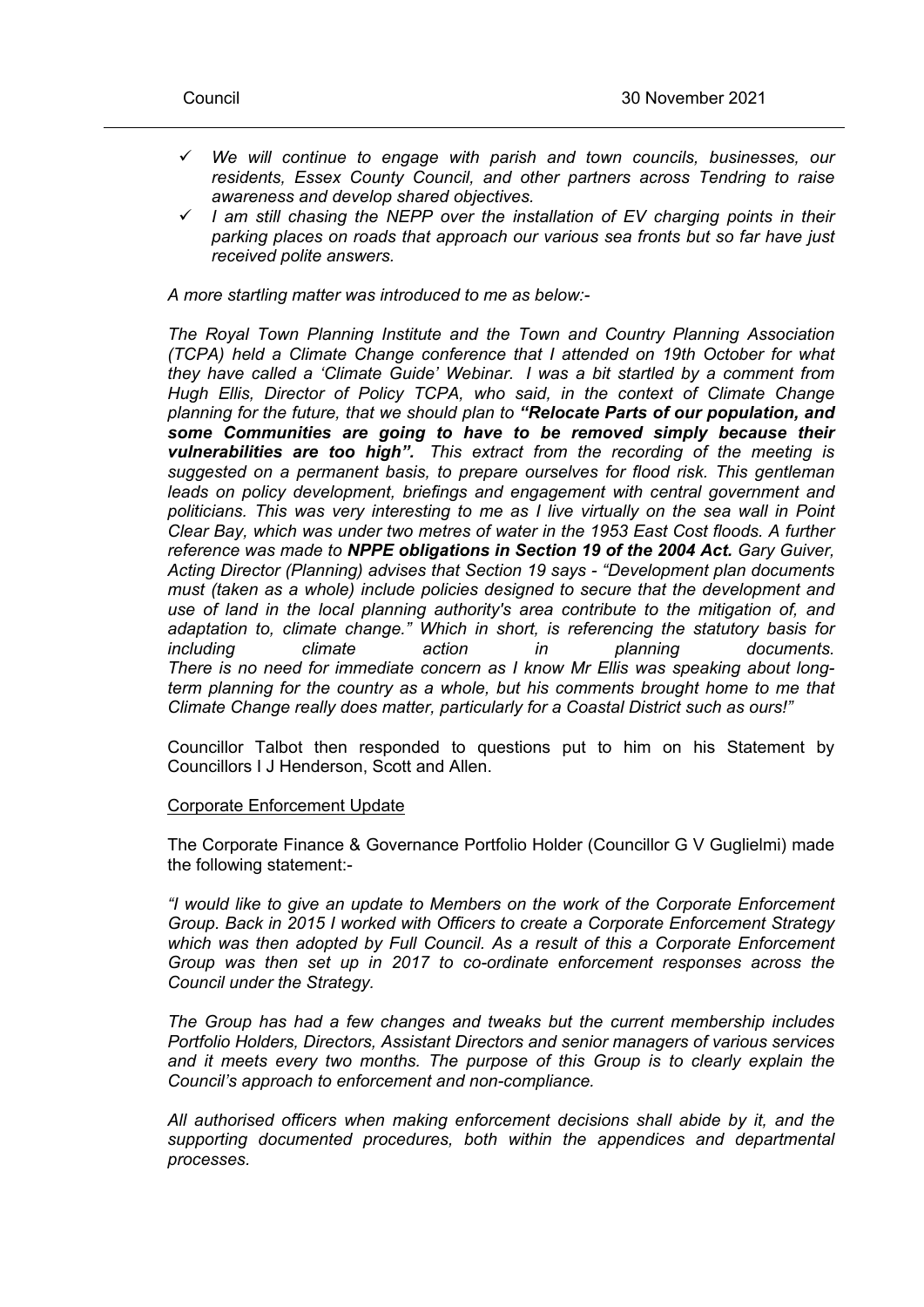- *We will continue to engage with parish and town councils, businesses, our residents, Essex County Council, and other partners across Tendring to raise awareness and develop shared objectives.*
- *I am still chasing the NEPP over the installation of EV charging points in their parking places on roads that approach our various sea fronts but so far have just received polite answers.*

*A more startling matter was introduced to me as below:-*

*The Royal Town Planning Institute and the Town and Country Planning Association (TCPA) held a Climate Change conference that I attended on 19th October for what they have called a 'Climate Guide' Webinar. I was a bit startled by a comment from Hugh Ellis, Director of Policy TCPA, who said, in the context of Climate Change planning for the future, that we should plan to "Relocate Parts of our population, and some Communities are going to have to be removed simply because their vulnerabilities are too high". This extract from the recording of the meeting is suggested on a permanent basis, to prepare ourselves for flood risk. This gentleman leads on policy development, briefings and engagement with central government and politicians. This was very interesting to me as I live virtually on the sea wall in Point Clear Bay, which was under two metres of water in the 1953 East Cost floods. A further reference was made to NPPE obligations in Section 19 of the 2004 Act. Gary Guiver, Acting Director (Planning) advises that Section 19 says - "Development plan documents must (taken as a whole) include policies designed to secure that the development and use of land in the local planning authority's area contribute to the mitigation of, and adaptation to, climate change." Which in short, is referencing the statutory basis for including climate action in planning documents. There is no need for immediate concern as I know Mr Ellis was speaking about longterm planning for the country as a whole, but his comments brought home to me that Climate Change really does matter, particularly for a Coastal District such as ours!"*

Councillor Talbot then responded to questions put to him on his Statement by Councillors I J Henderson, Scott and Allen.

### Corporate Enforcement Update

The Corporate Finance & Governance Portfolio Holder (Councillor G V Guglielmi) made the following statement:-

*"I would like to give an update to Members on the work of the Corporate Enforcement Group. Back in 2015 I worked with Officers to create a Corporate Enforcement Strategy which was then adopted by Full Council. As a result of this a Corporate Enforcement Group was then set up in 2017 to co-ordinate enforcement responses across the Council under the Strategy.*

*The Group has had a few changes and tweaks but the current membership includes Portfolio Holders, Directors, Assistant Directors and senior managers of various services and it meets every two months. The purpose of this Group is to clearly explain the Council's approach to enforcement and non-compliance.*

*All authorised officers when making enforcement decisions shall abide by it, and the supporting documented procedures, both within the appendices and departmental processes.*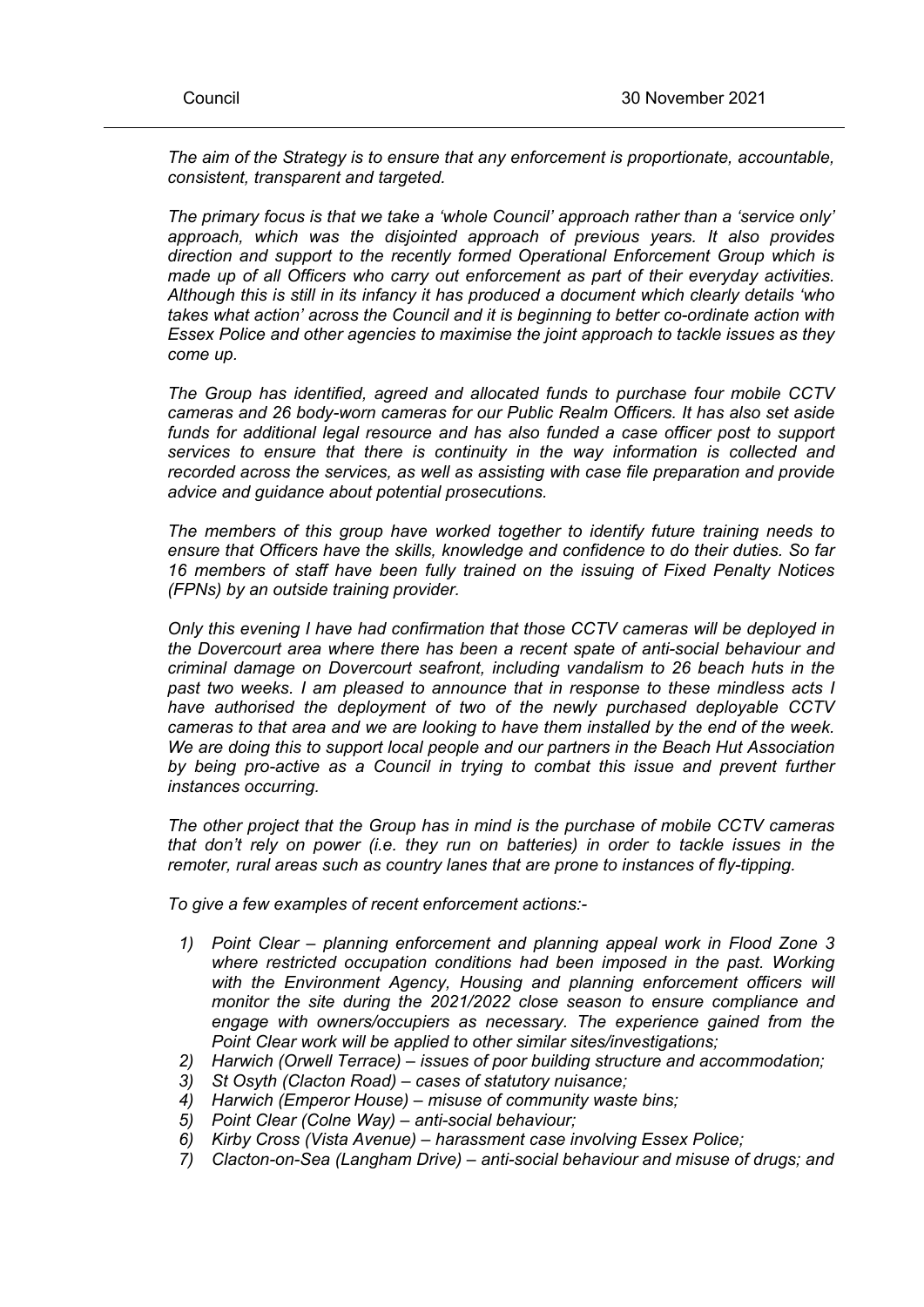*The aim of the Strategy is to ensure that any enforcement is proportionate, accountable, consistent, transparent and targeted.*

*The primary focus is that we take a 'whole Council' approach rather than a 'service only' approach, which was the disjointed approach of previous years. It also provides direction and support to the recently formed Operational Enforcement Group which is made up of all Officers who carry out enforcement as part of their everyday activities. Although this is still in its infancy it has produced a document which clearly details 'who takes what action' across the Council and it is beginning to better co-ordinate action with Essex Police and other agencies to maximise the joint approach to tackle issues as they come up.*

*The Group has identified, agreed and allocated funds to purchase four mobile CCTV cameras and 26 body-worn cameras for our Public Realm Officers. It has also set aside funds for additional legal resource and has also funded a case officer post to support services to ensure that there is continuity in the way information is collected and recorded across the services, as well as assisting with case file preparation and provide advice and guidance about potential prosecutions.*

*The members of this group have worked together to identify future training needs to ensure that Officers have the skills, knowledge and confidence to do their duties. So far 16 members of staff have been fully trained on the issuing of Fixed Penalty Notices (FPNs) by an outside training provider.*

*Only this evening I have had confirmation that those CCTV cameras will be deployed in the Dovercourt area where there has been a recent spate of anti-social behaviour and criminal damage on Dovercourt seafront, including vandalism to 26 beach huts in the past two weeks. I am pleased to announce that in response to these mindless acts I have authorised the deployment of two of the newly purchased deployable CCTV cameras to that area and we are looking to have them installed by the end of the week. We are doing this to support local people and our partners in the Beach Hut Association by being pro-active as a Council in trying to combat this issue and prevent further instances occurring.*

*The other project that the Group has in mind is the purchase of mobile CCTV cameras that don't rely on power (i.e. they run on batteries) in order to tackle issues in the remoter, rural areas such as country lanes that are prone to instances of fly-tipping.*

*To give a few examples of recent enforcement actions:-*

- *1) Point Clear – planning enforcement and planning appeal work in Flood Zone 3 where restricted occupation conditions had been imposed in the past. Working with the Environment Agency, Housing and planning enforcement officers will monitor the site during the 2021/2022 close season to ensure compliance and engage with owners/occupiers as necessary. The experience gained from the Point Clear work will be applied to other similar sites/investigations;*
- *2) Harwich (Orwell Terrace) – issues of poor building structure and accommodation;*
- *3) St Osyth (Clacton Road) – cases of statutory nuisance;*
- *4) Harwich (Emperor House) – misuse of community waste bins;*
- *5) Point Clear (Colne Way) – anti-social behaviour;*
- *6) Kirby Cross (Vista Avenue) – harassment case involving Essex Police;*
- *7) Clacton-on-Sea (Langham Drive) – anti-social behaviour and misuse of drugs; and*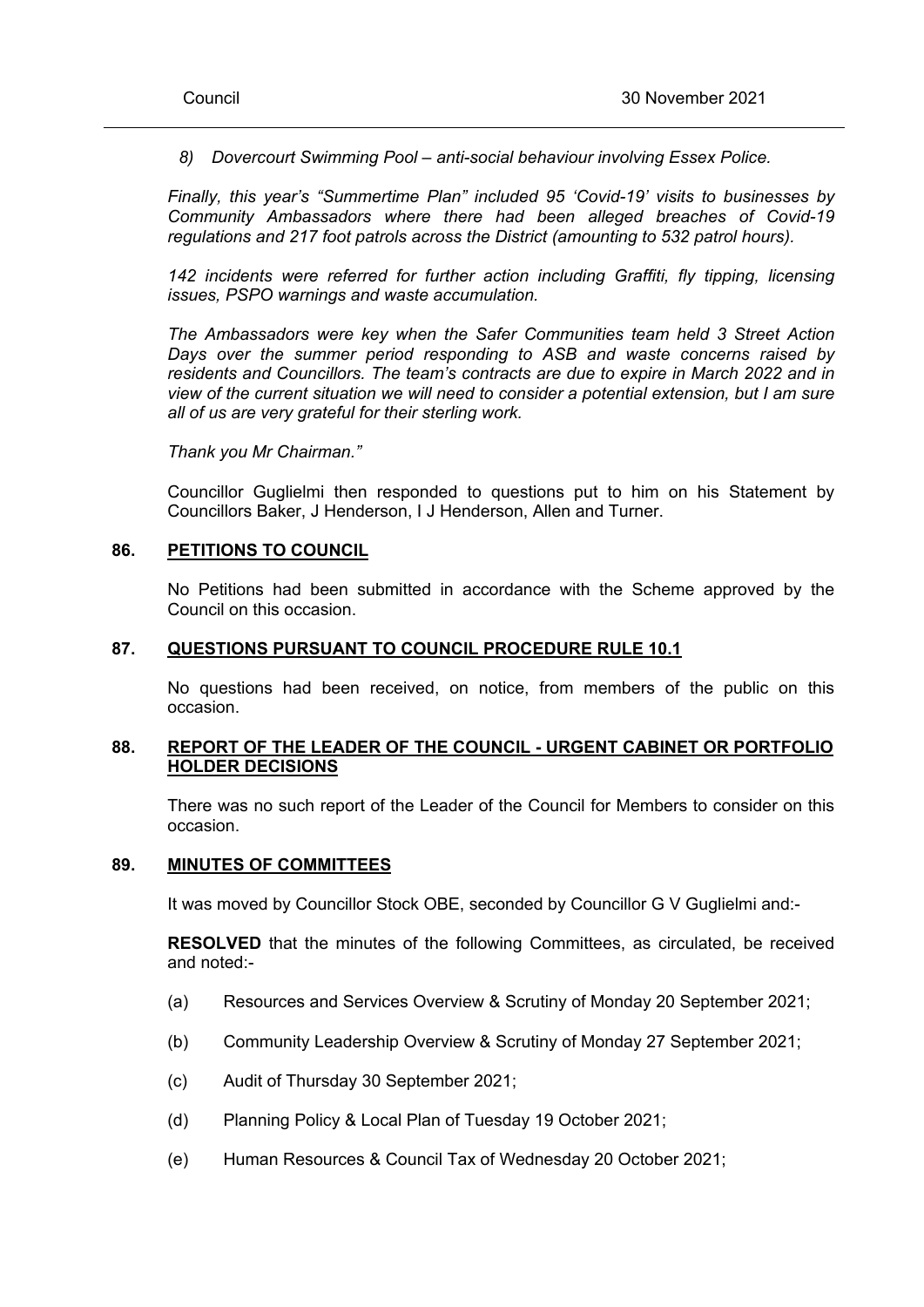*8) Dovercourt Swimming Pool – anti-social behaviour involving Essex Police.*

*Finally, this year's "Summertime Plan" included 95 'Covid-19' visits to businesses by Community Ambassadors where there had been alleged breaches of Covid-19 regulations and 217 foot patrols across the District (amounting to 532 patrol hours).*

*142 incidents were referred for further action including Graffiti, fly tipping, licensing issues, PSPO warnings and waste accumulation.*

*The Ambassadors were key when the Safer Communities team held 3 Street Action Days over the summer period responding to ASB and waste concerns raised by residents and Councillors. The team's contracts are due to expire in March 2022 and in view of the current situation we will need to consider a potential extension, but I am sure all of us are very grateful for their sterling work.*

*Thank you Mr Chairman."*

Councillor Guglielmi then responded to questions put to him on his Statement by Councillors Baker, J Henderson, I J Henderson, Allen and Turner.

### **86. PETITIONS TO COUNCIL**

No Petitions had been submitted in accordance with the Scheme approved by the Council on this occasion.

### **87. QUESTIONS PURSUANT TO COUNCIL PROCEDURE RULE 10.1**

No questions had been received, on notice, from members of the public on this occasion.

### **88. REPORT OF THE LEADER OF THE COUNCIL - URGENT CABINET OR PORTFOLIO HOLDER DECISIONS**

There was no such report of the Leader of the Council for Members to consider on this occasion.

### **89. MINUTES OF COMMITTEES**

It was moved by Councillor Stock OBE, seconded by Councillor G V Guglielmi and:-

**RESOLVED** that the minutes of the following Committees, as circulated, be received and noted:-

- (a) Resources and Services Overview & Scrutiny of Monday 20 September 2021;
- (b) Community Leadership Overview & Scrutiny of Monday 27 September 2021;
- (c) Audit of Thursday 30 September 2021;
- (d) Planning Policy & Local Plan of Tuesday 19 October 2021;
- (e) Human Resources & Council Tax of Wednesday 20 October 2021;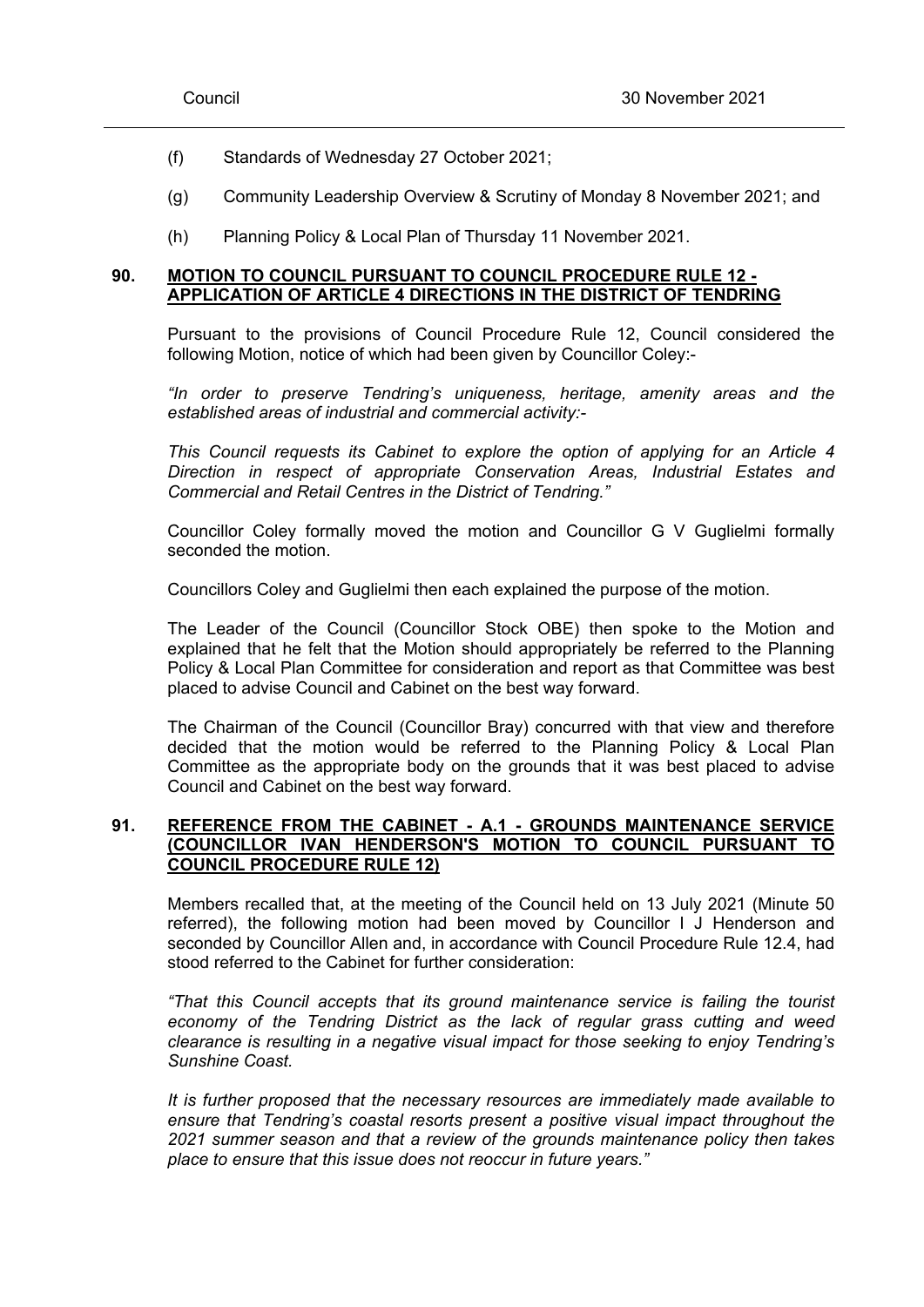- (f) Standards of Wednesday 27 October 2021;
- (g) Community Leadership Overview & Scrutiny of Monday 8 November 2021; and
- (h) Planning Policy & Local Plan of Thursday 11 November 2021.

### **90. MOTION TO COUNCIL PURSUANT TO COUNCIL PROCEDURE RULE 12 - APPLICATION OF ARTICLE 4 DIRECTIONS IN THE DISTRICT OF TENDRING**

Pursuant to the provisions of Council Procedure Rule 12, Council considered the following Motion, notice of which had been given by Councillor Coley:-

*"In order to preserve Tendring's uniqueness, heritage, amenity areas and the established areas of industrial and commercial activity:-*

*This Council requests its Cabinet to explore the option of applying for an Article 4 Direction in respect of appropriate Conservation Areas, Industrial Estates and Commercial and Retail Centres in the District of Tendring."*

Councillor Coley formally moved the motion and Councillor G V Guglielmi formally seconded the motion.

Councillors Coley and Guglielmi then each explained the purpose of the motion.

The Leader of the Council (Councillor Stock OBE) then spoke to the Motion and explained that he felt that the Motion should appropriately be referred to the Planning Policy & Local Plan Committee for consideration and report as that Committee was best placed to advise Council and Cabinet on the best way forward.

The Chairman of the Council (Councillor Bray) concurred with that view and therefore decided that the motion would be referred to the Planning Policy & Local Plan Committee as the appropriate body on the grounds that it was best placed to advise Council and Cabinet on the best way forward.

# **91. REFERENCE FROM THE CABINET - A.1 - GROUNDS MAINTENANCE SERVICE (COUNCILLOR IVAN HENDERSON'S MOTION TO COUNCIL PURSUANT TO COUNCIL PROCEDURE RULE 12)**

Members recalled that, at the meeting of the Council held on 13 July 2021 (Minute 50 referred), the following motion had been moved by Councillor I J Henderson and seconded by Councillor Allen and, in accordance with Council Procedure Rule 12.4, had stood referred to the Cabinet for further consideration:

*"That this Council accepts that its ground maintenance service is failing the tourist economy of the Tendring District as the lack of regular grass cutting and weed clearance is resulting in a negative visual impact for those seeking to enjoy Tendring's Sunshine Coast.*

*It is further proposed that the necessary resources are immediately made available to ensure that Tendring's coastal resorts present a positive visual impact throughout the 2021 summer season and that a review of the grounds maintenance policy then takes place to ensure that this issue does not reoccur in future years."*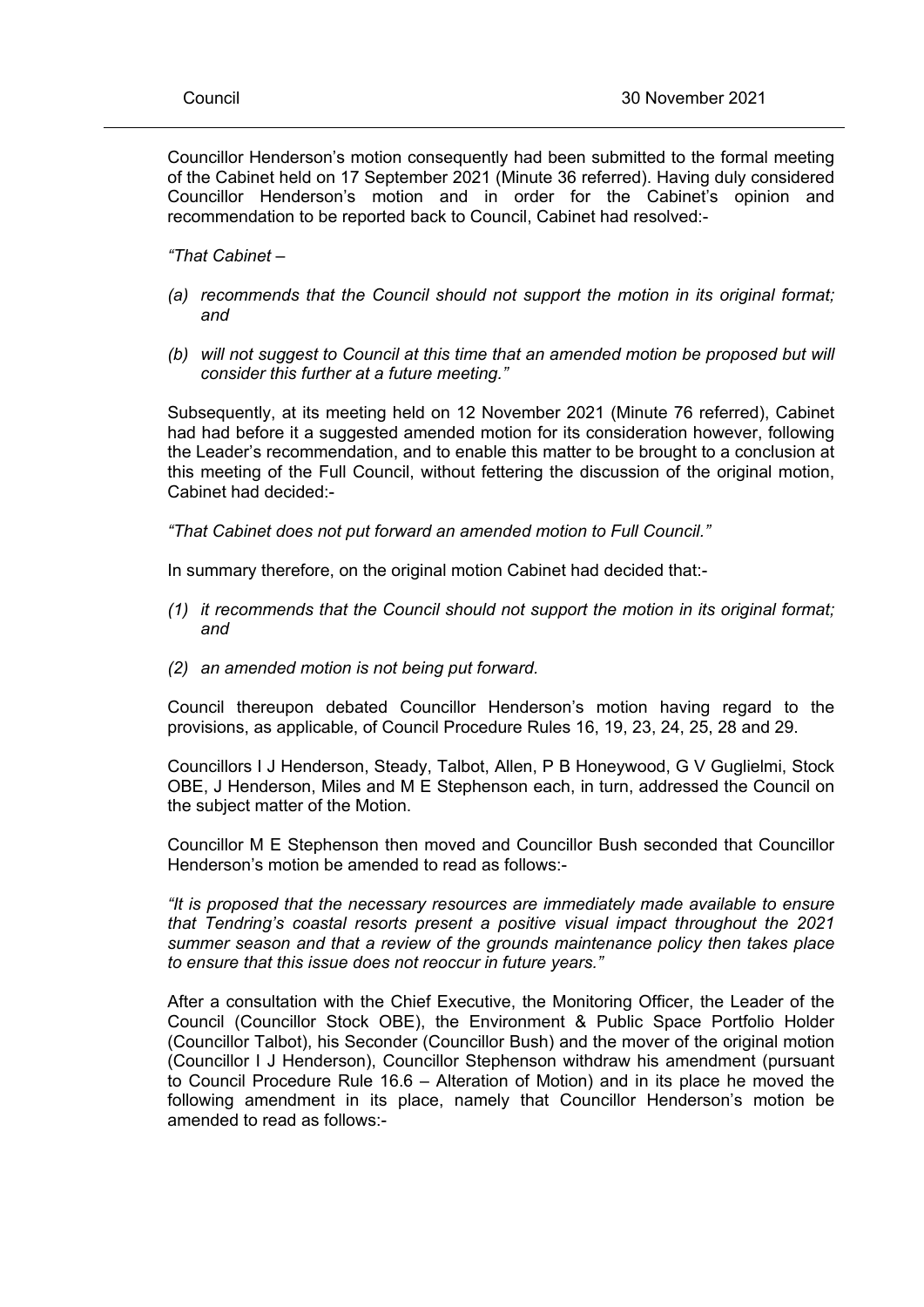Councillor Henderson's motion consequently had been submitted to the formal meeting of the Cabinet held on 17 September 2021 (Minute 36 referred). Having duly considered Councillor Henderson's motion and in order for the Cabinet's opinion and recommendation to be reported back to Council, Cabinet had resolved:-

*"That Cabinet –*

- *(a) recommends that the Council should not support the motion in its original format; and*
- *(b) will not suggest to Council at this time that an amended motion be proposed but will consider this further at a future meeting."*

Subsequently, at its meeting held on 12 November 2021 (Minute 76 referred), Cabinet had had before it a suggested amended motion for its consideration however, following the Leader's recommendation, and to enable this matter to be brought to a conclusion at this meeting of the Full Council, without fettering the discussion of the original motion, Cabinet had decided:-

*"That Cabinet does not put forward an amended motion to Full Council."*

In summary therefore, on the original motion Cabinet had decided that:-

- *(1) it recommends that the Council should not support the motion in its original format; and*
- *(2) an amended motion is not being put forward.*

Council thereupon debated Councillor Henderson's motion having regard to the provisions, as applicable, of Council Procedure Rules 16, 19, 23, 24, 25, 28 and 29.

Councillors I J Henderson, Steady, Talbot, Allen, P B Honeywood, G V Guglielmi, Stock OBE, J Henderson, Miles and M E Stephenson each, in turn, addressed the Council on the subject matter of the Motion.

Councillor M E Stephenson then moved and Councillor Bush seconded that Councillor Henderson's motion be amended to read as follows:-

*"It is proposed that the necessary resources are immediately made available to ensure that Tendring's coastal resorts present a positive visual impact throughout the 2021 summer season and that a review of the grounds maintenance policy then takes place to ensure that this issue does not reoccur in future years."*

After a consultation with the Chief Executive, the Monitoring Officer, the Leader of the Council (Councillor Stock OBE), the Environment & Public Space Portfolio Holder (Councillor Talbot), his Seconder (Councillor Bush) and the mover of the original motion (Councillor I J Henderson), Councillor Stephenson withdraw his amendment (pursuant to Council Procedure Rule 16.6 – Alteration of Motion) and in its place he moved the following amendment in its place, namely that Councillor Henderson's motion be amended to read as follows:-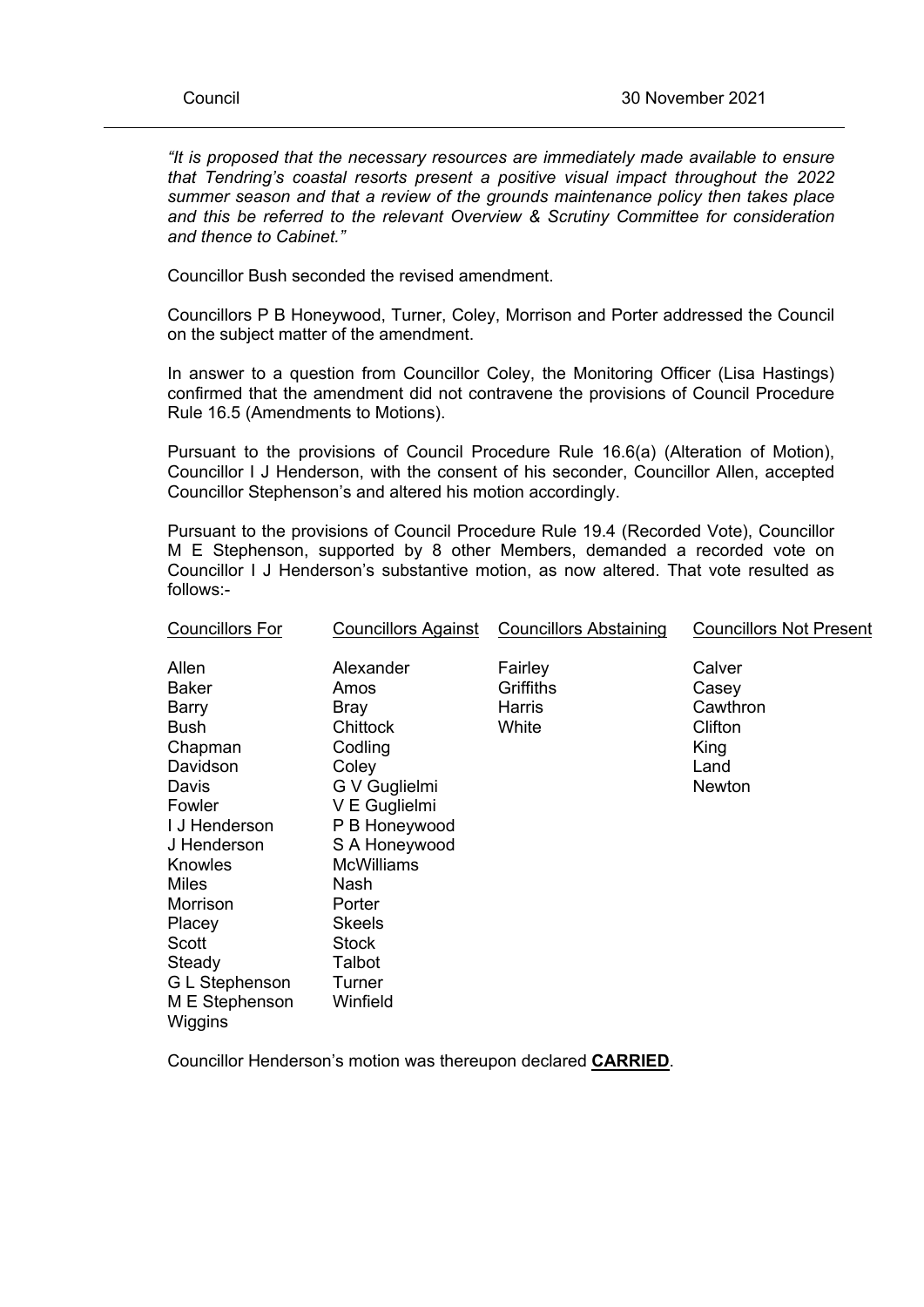*"It is proposed that the necessary resources are immediately made available to ensure that Tendring's coastal resorts present a positive visual impact throughout the 2022 summer season and that a review of the grounds maintenance policy then takes place and this be referred to the relevant Overview & Scrutiny Committee for consideration and thence to Cabinet."*

Councillor Bush seconded the revised amendment.

Councillors P B Honeywood, Turner, Coley, Morrison and Porter addressed the Council on the subject matter of the amendment.

In answer to a question from Councillor Coley, the Monitoring Officer (Lisa Hastings) confirmed that the amendment did not contravene the provisions of Council Procedure Rule 16.5 (Amendments to Motions).

Pursuant to the provisions of Council Procedure Rule 16.6(a) (Alteration of Motion), Councillor I J Henderson, with the consent of his seconder, Councillor Allen, accepted Councillor Stephenson's and altered his motion accordingly.

Pursuant to the provisions of Council Procedure Rule 19.4 (Recorded Vote), Councillor M E Stephenson, supported by 8 other Members, demanded a recorded vote on Councillor I J Henderson's substantive motion, as now altered. That vote resulted as follows:-

| <b>Councillors For</b>                                                                                                                                                                                                                            | <b>Councillors Against</b>                                                                                                                                                                                                            | <b>Councillors Abstaining</b>           | <b>Councillors Not Present</b>                                   |
|---------------------------------------------------------------------------------------------------------------------------------------------------------------------------------------------------------------------------------------------------|---------------------------------------------------------------------------------------------------------------------------------------------------------------------------------------------------------------------------------------|-----------------------------------------|------------------------------------------------------------------|
| Allen<br><b>Baker</b><br><b>Barry</b><br><b>Bush</b><br>Chapman<br>Davidson<br>Davis<br>Fowler<br>I J Henderson<br>J Henderson<br>Knowles<br><b>Miles</b><br>Morrison<br>Placey<br>Scott<br>Steady<br>G L Stephenson<br>M E Stephenson<br>Wiggins | Alexander<br>Amos<br><b>Bray</b><br>Chittock<br>Codling<br>Coley<br>G V Guglielmi<br>V E Guglielmi<br>P B Honeywood<br>S A Honeywood<br><b>McWilliams</b><br>Nash<br>Porter<br>Skeels<br><b>Stock</b><br>Talbot<br>Turner<br>Winfield | Fairley<br>Griffiths<br>Harris<br>White | Calver<br>Casey<br>Cawthron<br>Clifton<br>King<br>Land<br>Newton |
|                                                                                                                                                                                                                                                   |                                                                                                                                                                                                                                       |                                         |                                                                  |

Councillor Henderson's motion was thereupon declared **CARRIED**.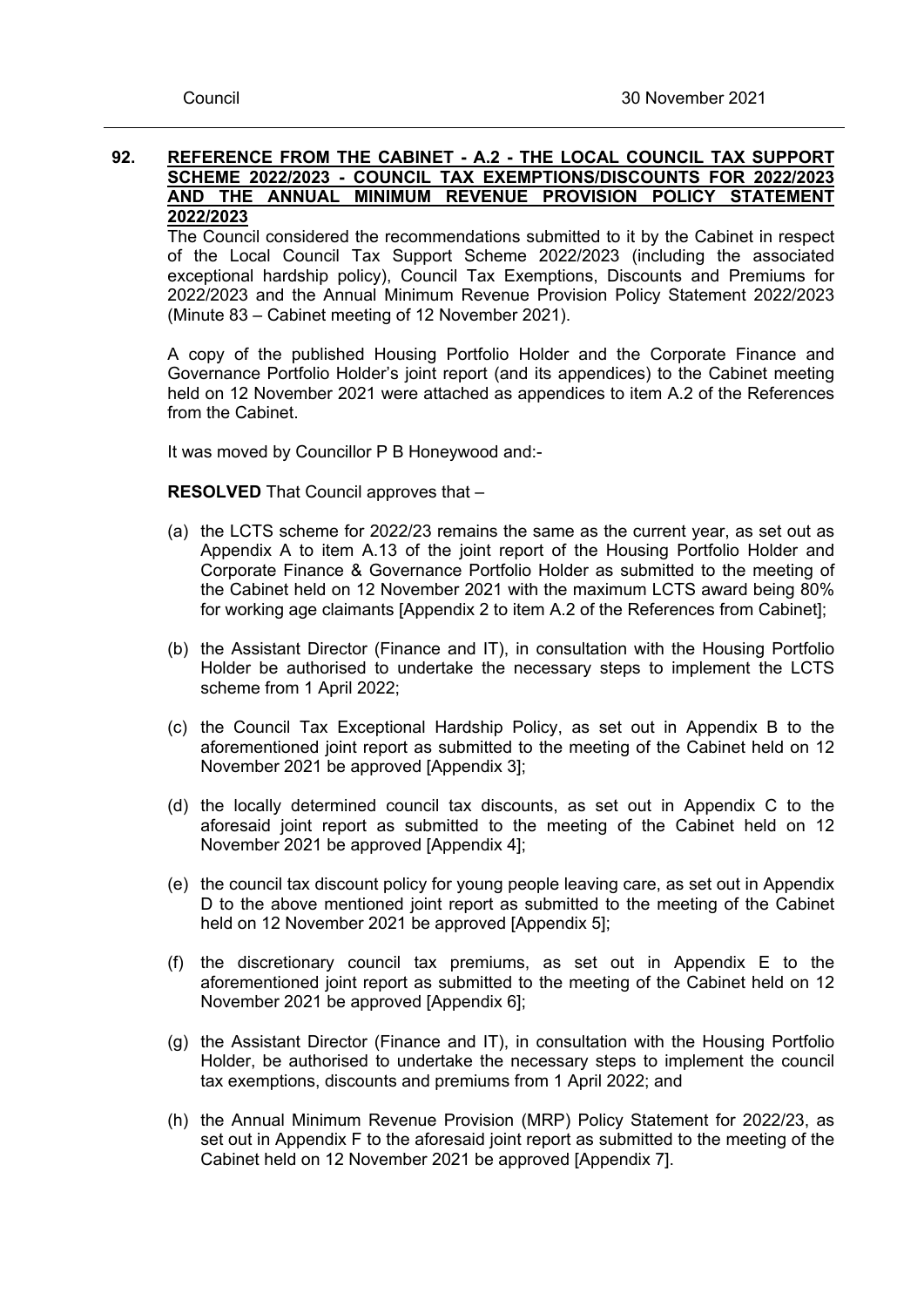### **92. REFERENCE FROM THE CABINET - A.2 - THE LOCAL COUNCIL TAX SUPPORT SCHEME 2022/2023 - COUNCIL TAX EXEMPTIONS/DISCOUNTS FOR 2022/2023 AND THE ANNUAL MINIMUM REVENUE PROVISION POLICY STATEMENT 2022/2023**

The Council considered the recommendations submitted to it by the Cabinet in respect of the Local Council Tax Support Scheme 2022/2023 (including the associated exceptional hardship policy), Council Tax Exemptions, Discounts and Premiums for 2022/2023 and the Annual Minimum Revenue Provision Policy Statement 2022/2023 (Minute 83 – Cabinet meeting of 12 November 2021).

A copy of the published Housing Portfolio Holder and the Corporate Finance and Governance Portfolio Holder's joint report (and its appendices) to the Cabinet meeting held on 12 November 2021 were attached as appendices to item A.2 of the References from the Cabinet.

It was moved by Councillor P B Honeywood and:-

**RESOLVED** That Council approves that –

- (a) the LCTS scheme for 2022/23 remains the same as the current year, as set out as Appendix A to item A.13 of the joint report of the Housing Portfolio Holder and Corporate Finance & Governance Portfolio Holder as submitted to the meeting of the Cabinet held on 12 November 2021 with the maximum LCTS award being 80% for working age claimants [Appendix 2 to item A.2 of the References from Cabinet];
- (b) the Assistant Director (Finance and IT), in consultation with the Housing Portfolio Holder be authorised to undertake the necessary steps to implement the LCTS scheme from 1 April 2022;
- (c) the Council Tax Exceptional Hardship Policy, as set out in Appendix B to the aforementioned joint report as submitted to the meeting of the Cabinet held on 12 November 2021 be approved [Appendix 3];
- (d) the locally determined council tax discounts, as set out in Appendix C to the aforesaid joint report as submitted to the meeting of the Cabinet held on 12 November 2021 be approved [Appendix 4];
- (e) the council tax discount policy for young people leaving care, as set out in Appendix D to the above mentioned joint report as submitted to the meeting of the Cabinet held on 12 November 2021 be approved [Appendix 5];
- (f) the discretionary council tax premiums, as set out in Appendix E to the aforementioned joint report as submitted to the meeting of the Cabinet held on 12 November 2021 be approved [Appendix 6];
- (g) the Assistant Director (Finance and IT), in consultation with the Housing Portfolio Holder, be authorised to undertake the necessary steps to implement the council tax exemptions, discounts and premiums from 1 April 2022; and
- (h) the Annual Minimum Revenue Provision (MRP) Policy Statement for 2022/23, as set out in Appendix F to the aforesaid joint report as submitted to the meeting of the Cabinet held on 12 November 2021 be approved [Appendix 7].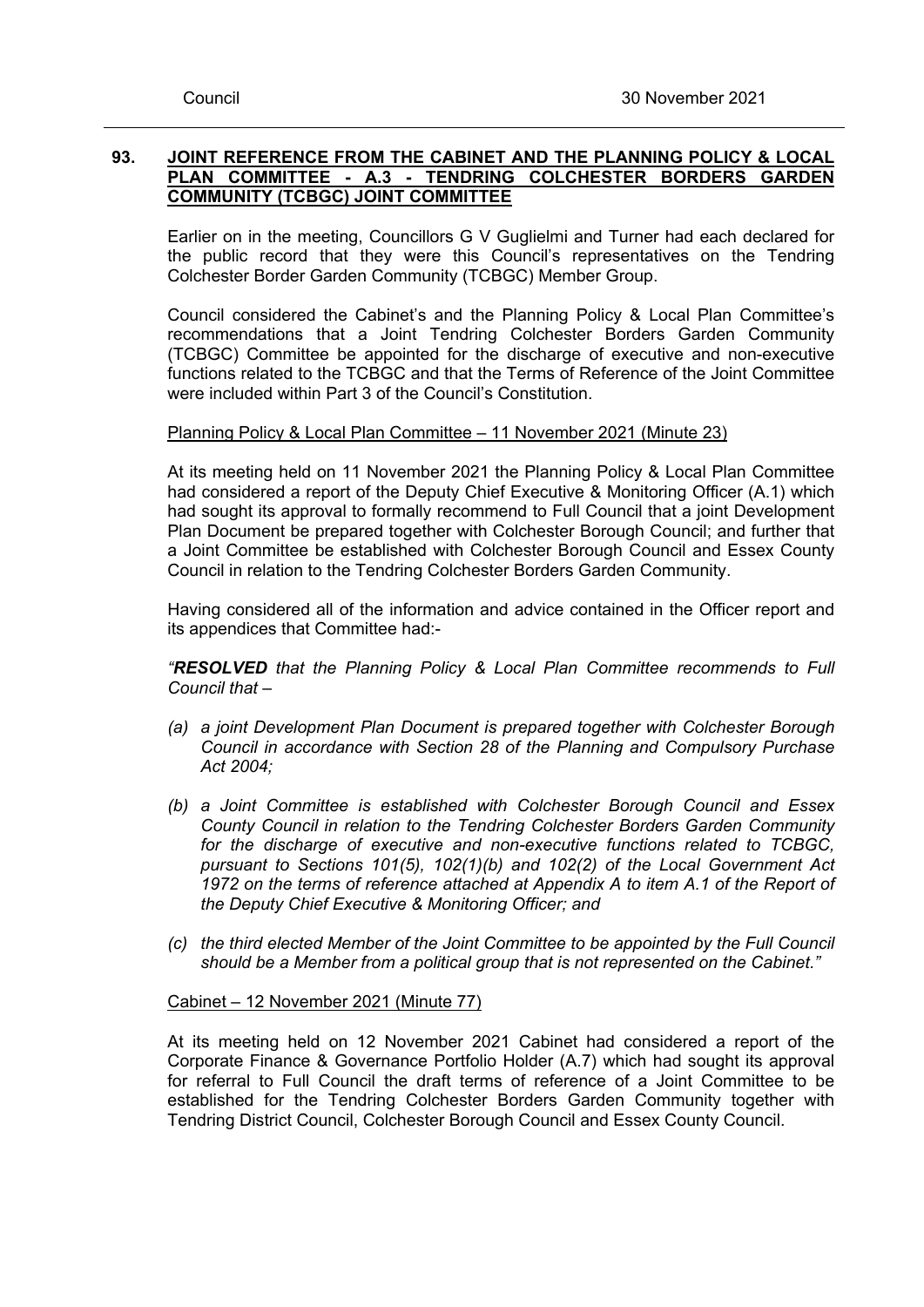# **93. JOINT REFERENCE FROM THE CABINET AND THE PLANNING POLICY & LOCAL PLAN COMMITTEE - A.3 - TENDRING COLCHESTER BORDERS GARDEN COMMUNITY (TCBGC) JOINT COMMITTEE**

Earlier on in the meeting, Councillors G V Guglielmi and Turner had each declared for the public record that they were this Council's representatives on the Tendring Colchester Border Garden Community (TCBGC) Member Group.

Council considered the Cabinet's and the Planning Policy & Local Plan Committee's recommendations that a Joint Tendring Colchester Borders Garden Community (TCBGC) Committee be appointed for the discharge of executive and non-executive functions related to the TCBGC and that the Terms of Reference of the Joint Committee were included within Part 3 of the Council's Constitution.

# Planning Policy & Local Plan Committee – 11 November 2021 (Minute 23)

At its meeting held on 11 November 2021 the Planning Policy & Local Plan Committee had considered a report of the Deputy Chief Executive & Monitoring Officer (A.1) which had sought its approval to formally recommend to Full Council that a joint Development Plan Document be prepared together with Colchester Borough Council; and further that a Joint Committee be established with Colchester Borough Council and Essex County Council in relation to the Tendring Colchester Borders Garden Community.

Having considered all of the information and advice contained in the Officer report and its appendices that Committee had:-

*"RESOLVED that the Planning Policy & Local Plan Committee recommends to Full Council that –*

- *(a) a joint Development Plan Document is prepared together with Colchester Borough Council in accordance with Section 28 of the Planning and Compulsory Purchase Act 2004;*
- *(b) a Joint Committee is established with Colchester Borough Council and Essex County Council in relation to the Tendring Colchester Borders Garden Community for the discharge of executive and non-executive functions related to TCBGC, pursuant to Sections 101(5), 102(1)(b) and 102(2) of the Local Government Act 1972 on the terms of reference attached at Appendix A to item A.1 of the Report of the Deputy Chief Executive & Monitoring Officer; and*
- *(c) the third elected Member of the Joint Committee to be appointed by the Full Council should be a Member from a political group that is not represented on the Cabinet."*

### Cabinet – 12 November 2021 (Minute 77)

At its meeting held on 12 November 2021 Cabinet had considered a report of the Corporate Finance & Governance Portfolio Holder (A.7) which had sought its approval for referral to Full Council the draft terms of reference of a Joint Committee to be established for the Tendring Colchester Borders Garden Community together with Tendring District Council, Colchester Borough Council and Essex County Council.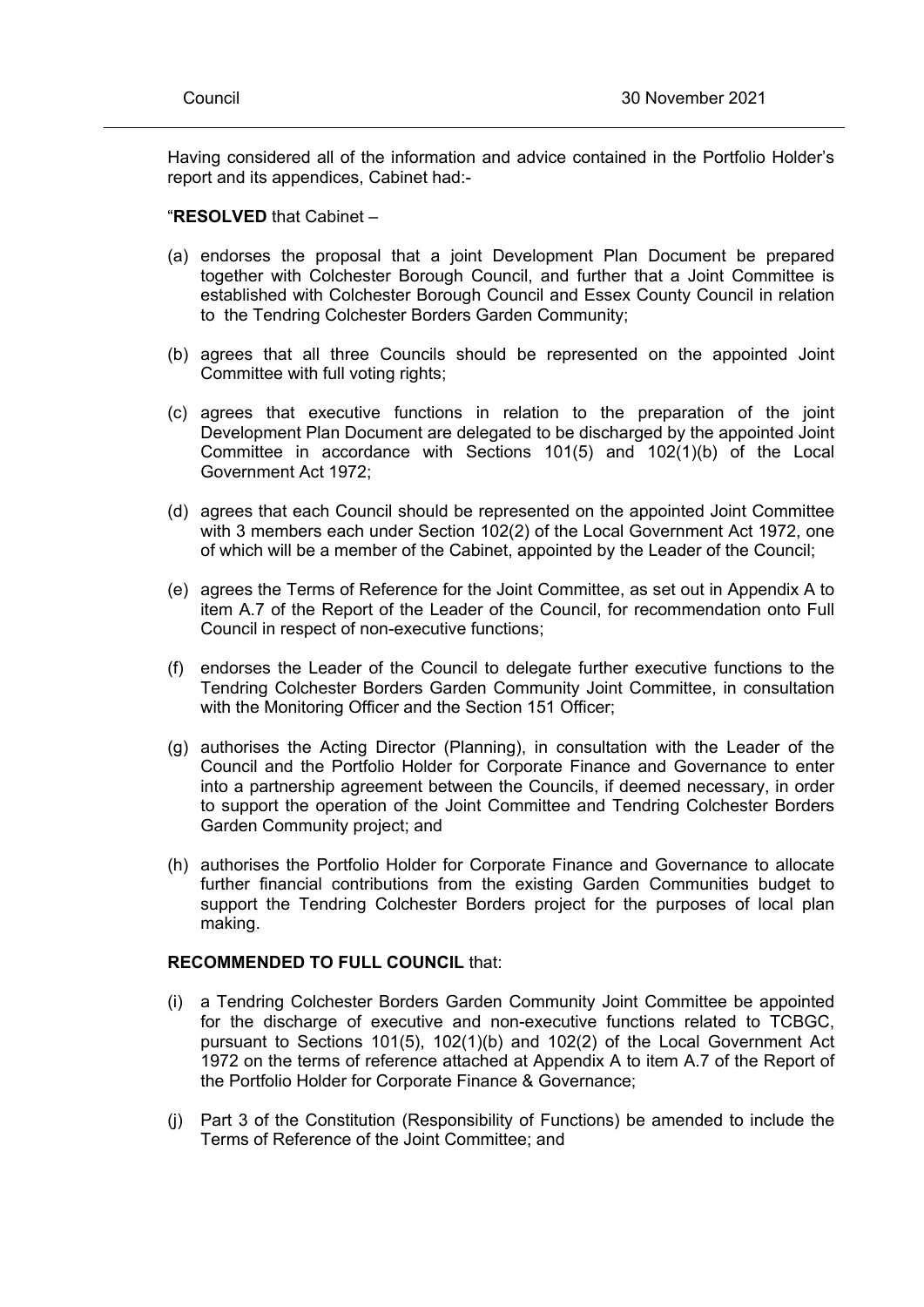Having considered all of the information and advice contained in the Portfolio Holder's report and its appendices, Cabinet had:-

#### "**RESOLVED** that Cabinet –

- (a) endorses the proposal that a joint Development Plan Document be prepared together with Colchester Borough Council, and further that a Joint Committee is established with Colchester Borough Council and Essex County Council in relation to the Tendring Colchester Borders Garden Community;
- (b) agrees that all three Councils should be represented on the appointed Joint Committee with full voting rights:
- (c) agrees that executive functions in relation to the preparation of the joint Development Plan Document are delegated to be discharged by the appointed Joint Committee in accordance with Sections 101(5) and 102(1)(b) of the Local Government Act 1972;
- (d) agrees that each Council should be represented on the appointed Joint Committee with 3 members each under Section 102(2) of the Local Government Act 1972, one of which will be a member of the Cabinet, appointed by the Leader of the Council;
- (e) agrees the Terms of Reference for the Joint Committee, as set out in Appendix A to item A.7 of the Report of the Leader of the Council, for recommendation onto Full Council in respect of non-executive functions;
- (f) endorses the Leader of the Council to delegate further executive functions to the Tendring Colchester Borders Garden Community Joint Committee, in consultation with the Monitoring Officer and the Section 151 Officer;
- (g) authorises the Acting Director (Planning), in consultation with the Leader of the Council and the Portfolio Holder for Corporate Finance and Governance to enter into a partnership agreement between the Councils, if deemed necessary, in order to support the operation of the Joint Committee and Tendring Colchester Borders Garden Community project; and
- (h) authorises the Portfolio Holder for Corporate Finance and Governance to allocate further financial contributions from the existing Garden Communities budget to support the Tendring Colchester Borders project for the purposes of local plan making.

#### **RECOMMENDED TO FULL COUNCIL** that:

- (i) a Tendring Colchester Borders Garden Community Joint Committee be appointed for the discharge of executive and non-executive functions related to TCBGC, pursuant to Sections 101(5), 102(1)(b) and 102(2) of the Local Government Act 1972 on the terms of reference attached at Appendix A to item A.7 of the Report of the Portfolio Holder for Corporate Finance & Governance;
- (j) Part 3 of the Constitution (Responsibility of Functions) be amended to include the Terms of Reference of the Joint Committee; and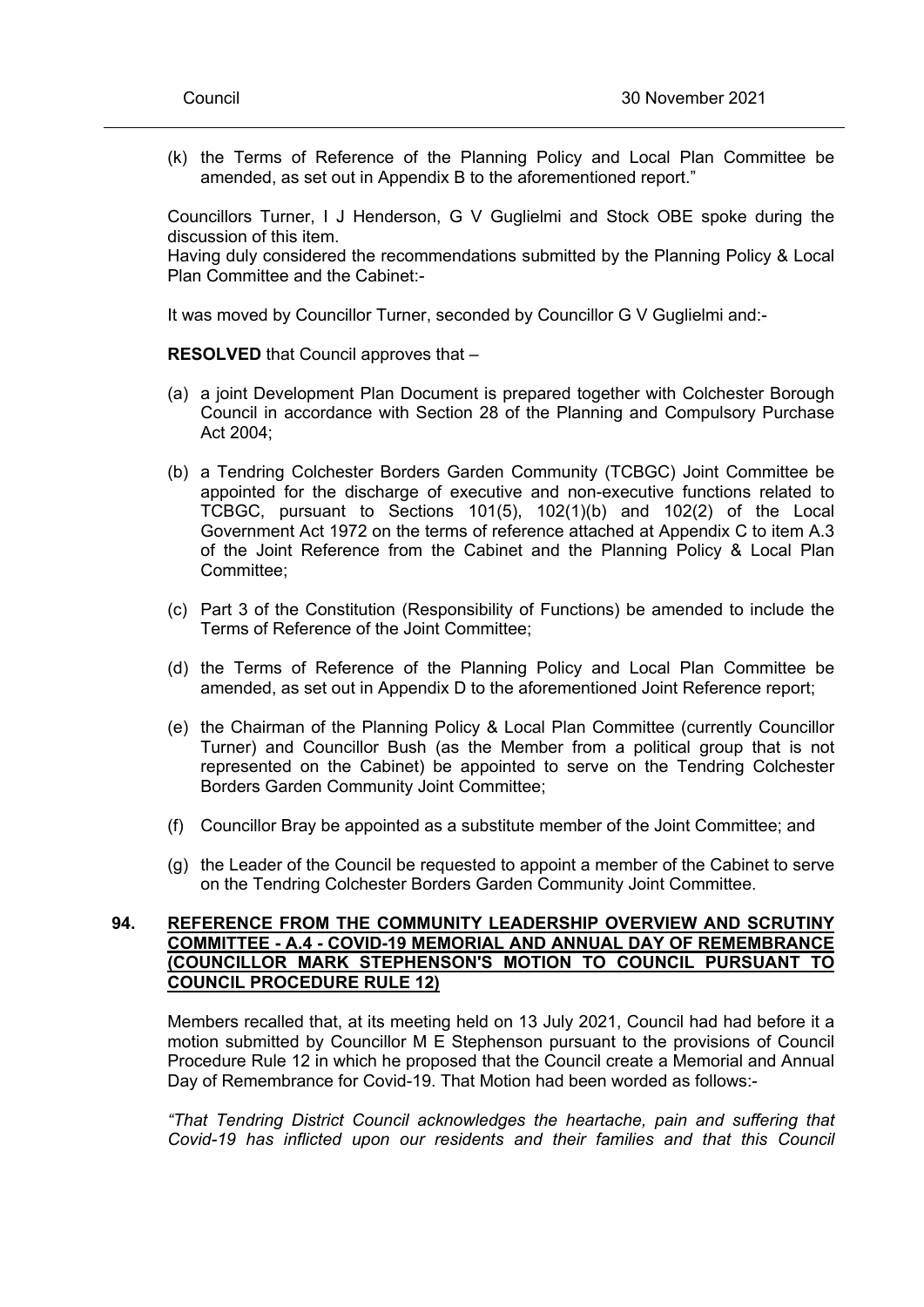(k) the Terms of Reference of the Planning Policy and Local Plan Committee be amended, as set out in Appendix B to the aforementioned report."

Councillors Turner, I J Henderson, G V Guglielmi and Stock OBE spoke during the discussion of this item.

Having duly considered the recommendations submitted by the Planning Policy & Local Plan Committee and the Cabinet:-

It was moved by Councillor Turner, seconded by Councillor G V Guglielmi and:-

**RESOLVED** that Council approves that –

- (a) a joint Development Plan Document is prepared together with Colchester Borough Council in accordance with Section 28 of the Planning and Compulsory Purchase Act 2004;
- (b) a Tendring Colchester Borders Garden Community (TCBGC) Joint Committee be appointed for the discharge of executive and non-executive functions related to TCBGC, pursuant to Sections 101(5), 102(1)(b) and 102(2) of the Local Government Act 1972 on the terms of reference attached at Appendix C to item A.3 of the Joint Reference from the Cabinet and the Planning Policy & Local Plan Committee;
- (c) Part 3 of the Constitution (Responsibility of Functions) be amended to include the Terms of Reference of the Joint Committee;
- (d) the Terms of Reference of the Planning Policy and Local Plan Committee be amended, as set out in Appendix D to the aforementioned Joint Reference report;
- (e) the Chairman of the Planning Policy & Local Plan Committee (currently Councillor Turner) and Councillor Bush (as the Member from a political group that is not represented on the Cabinet) be appointed to serve on the Tendring Colchester Borders Garden Community Joint Committee;
- (f) Councillor Bray be appointed as a substitute member of the Joint Committee; and
- (g) the Leader of the Council be requested to appoint a member of the Cabinet to serve on the Tendring Colchester Borders Garden Community Joint Committee.

### **94. REFERENCE FROM THE COMMUNITY LEADERSHIP OVERVIEW AND SCRUTINY COMMITTEE - A.4 - COVID-19 MEMORIAL AND ANNUAL DAY OF REMEMBRANCE (COUNCILLOR MARK STEPHENSON'S MOTION TO COUNCIL PURSUANT TO COUNCIL PROCEDURE RULE 12)**

Members recalled that, at its meeting held on 13 July 2021, Council had had before it a motion submitted by Councillor M E Stephenson pursuant to the provisions of Council Procedure Rule 12 in which he proposed that the Council create a Memorial and Annual Day of Remembrance for Covid-19. That Motion had been worded as follows:-

*"That Tendring District Council acknowledges the heartache, pain and suffering that Covid-19 has inflicted upon our residents and their families and that this Council*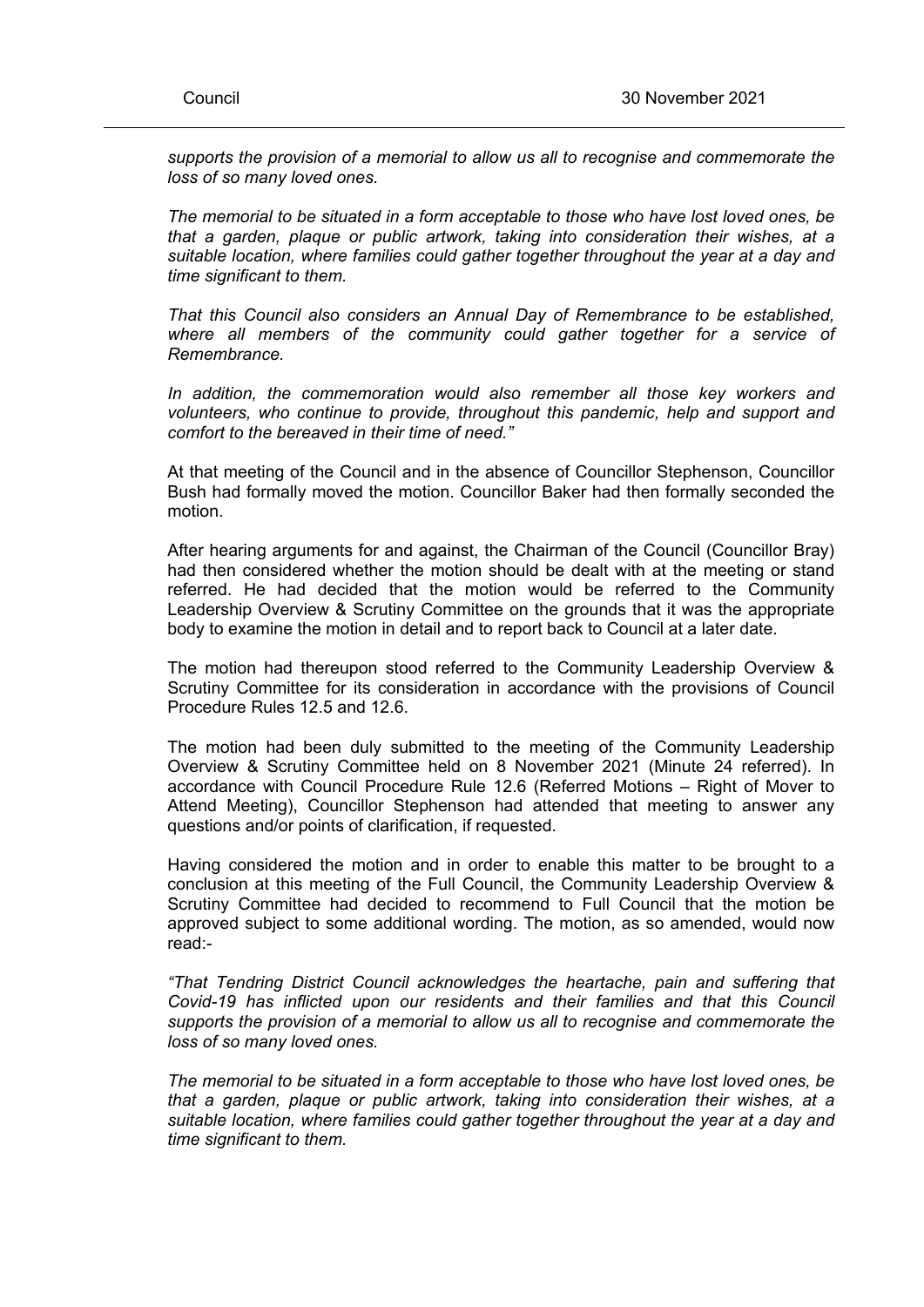*supports the provision of a memorial to allow us all to recognise and commemorate the loss of so many loved ones.*

*The memorial to be situated in a form acceptable to those who have lost loved ones, be that a garden, plaque or public artwork, taking into consideration their wishes, at a suitable location, where families could gather together throughout the year at a day and time significant to them.*

*That this Council also considers an Annual Day of Remembrance to be established, where all members of the community could gather together for a service of Remembrance.*

*In addition, the commemoration would also remember all those key workers and volunteers, who continue to provide, throughout this pandemic, help and support and comfort to the bereaved in their time of need."*

At that meeting of the Council and in the absence of Councillor Stephenson, Councillor Bush had formally moved the motion. Councillor Baker had then formally seconded the motion.

After hearing arguments for and against, the Chairman of the Council (Councillor Bray) had then considered whether the motion should be dealt with at the meeting or stand referred. He had decided that the motion would be referred to the Community Leadership Overview & Scrutiny Committee on the grounds that it was the appropriate body to examine the motion in detail and to report back to Council at a later date.

The motion had thereupon stood referred to the Community Leadership Overview & Scrutiny Committee for its consideration in accordance with the provisions of Council Procedure Rules 12.5 and 12.6.

The motion had been duly submitted to the meeting of the Community Leadership Overview & Scrutiny Committee held on 8 November 2021 (Minute 24 referred). In accordance with Council Procedure Rule 12.6 (Referred Motions – Right of Mover to Attend Meeting), Councillor Stephenson had attended that meeting to answer any questions and/or points of clarification, if requested.

Having considered the motion and in order to enable this matter to be brought to a conclusion at this meeting of the Full Council, the Community Leadership Overview & Scrutiny Committee had decided to recommend to Full Council that the motion be approved subject to some additional wording. The motion, as so amended, would now read:-

*"That Tendring District Council acknowledges the heartache, pain and suffering that Covid-19 has inflicted upon our residents and their families and that this Council supports the provision of a memorial to allow us all to recognise and commemorate the loss of so many loved ones.*

*The memorial to be situated in a form acceptable to those who have lost loved ones, be that a garden, plaque or public artwork, taking into consideration their wishes, at a suitable location, where families could gather together throughout the year at a day and time significant to them.*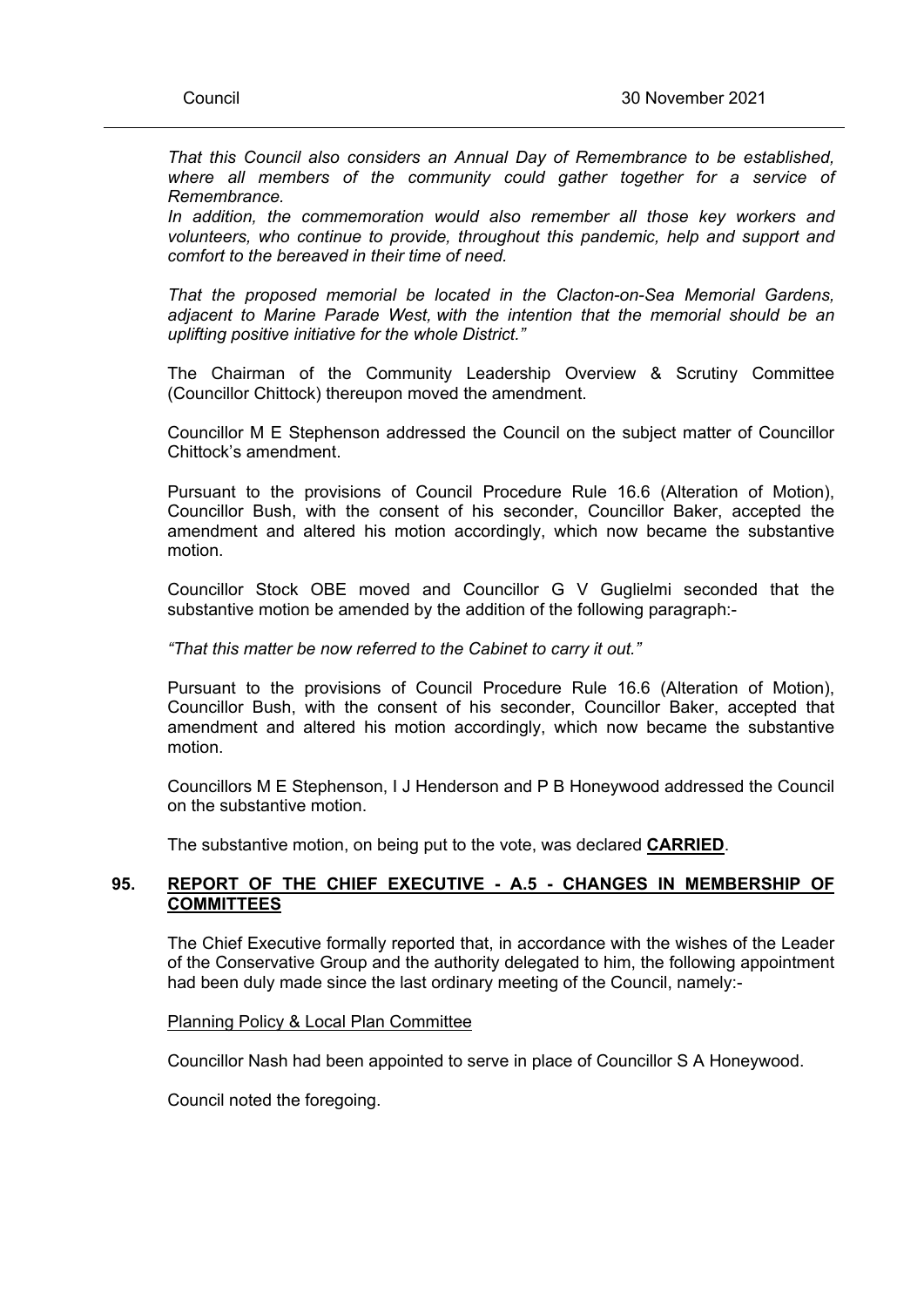*That this Council also considers an Annual Day of Remembrance to be established, where all members of the community could gather together for a service of Remembrance.*

*In addition, the commemoration would also remember all those key workers and volunteers, who continue to provide, throughout this pandemic, help and support and comfort to the bereaved in their time of need.*

*That the proposed memorial be located in the Clacton-on-Sea Memorial Gardens, adjacent to Marine Parade West, with the intention that the memorial should be an uplifting positive initiative for the whole District."*

The Chairman of the Community Leadership Overview & Scrutiny Committee (Councillor Chittock) thereupon moved the amendment.

Councillor M E Stephenson addressed the Council on the subject matter of Councillor Chittock's amendment.

Pursuant to the provisions of Council Procedure Rule 16.6 (Alteration of Motion), Councillor Bush, with the consent of his seconder, Councillor Baker, accepted the amendment and altered his motion accordingly, which now became the substantive motion.

Councillor Stock OBE moved and Councillor G V Guglielmi seconded that the substantive motion be amended by the addition of the following paragraph:-

#### *"That this matter be now referred to the Cabinet to carry it out."*

Pursuant to the provisions of Council Procedure Rule 16.6 (Alteration of Motion), Councillor Bush, with the consent of his seconder, Councillor Baker, accepted that amendment and altered his motion accordingly, which now became the substantive motion.

Councillors M E Stephenson, I J Henderson and P B Honeywood addressed the Council on the substantive motion.

The substantive motion, on being put to the vote, was declared **CARRIED**.

# **95. REPORT OF THE CHIEF EXECUTIVE - A.5 - CHANGES IN MEMBERSHIP OF COMMITTEES**

The Chief Executive formally reported that, in accordance with the wishes of the Leader of the Conservative Group and the authority delegated to him, the following appointment had been duly made since the last ordinary meeting of the Council, namely:-

#### Planning Policy & Local Plan Committee

Councillor Nash had been appointed to serve in place of Councillor S A Honeywood.

Council noted the foregoing.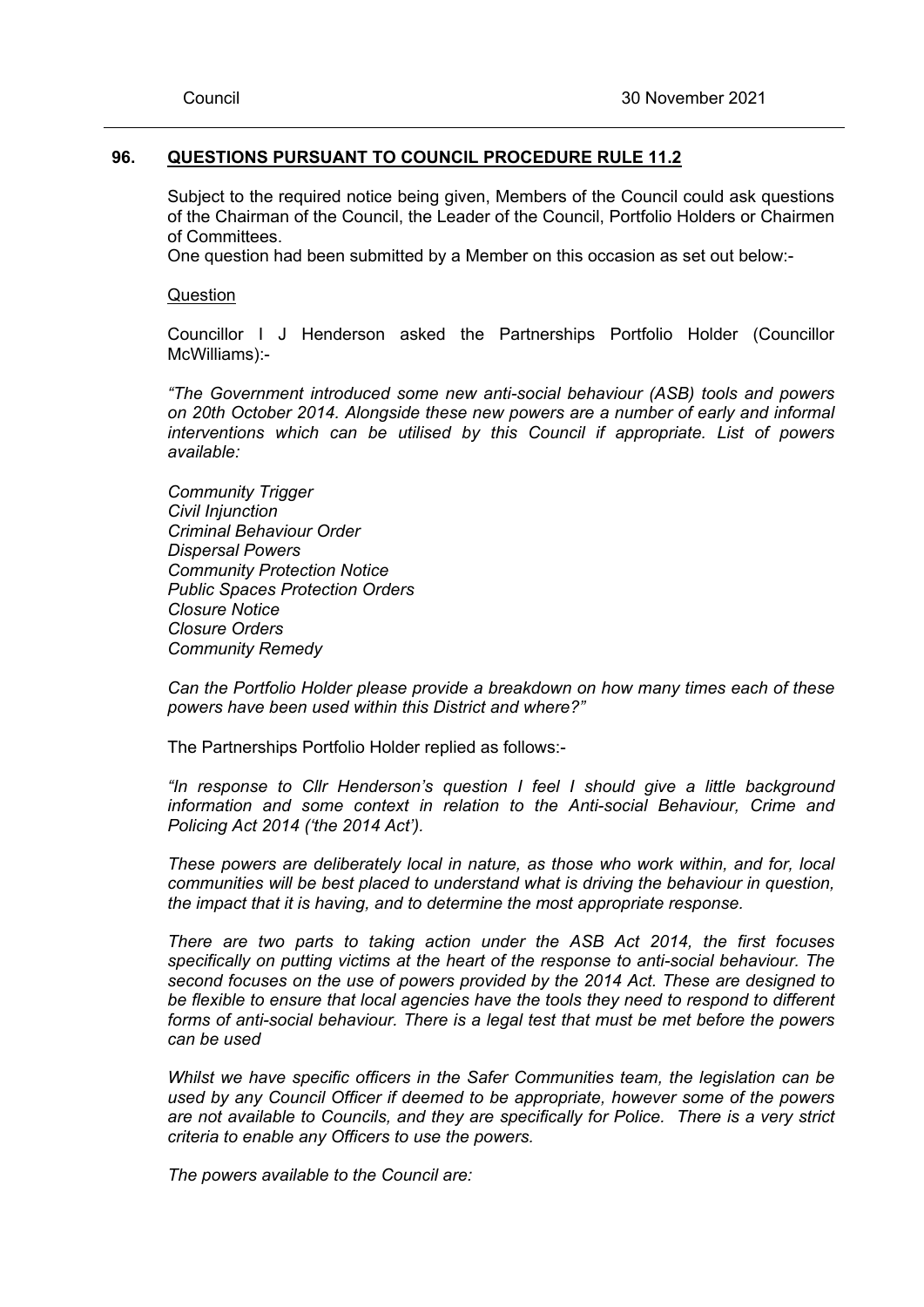#### **96. QUESTIONS PURSUANT TO COUNCIL PROCEDURE RULE 11.2**

Subject to the required notice being given, Members of the Council could ask questions of the Chairman of the Council, the Leader of the Council, Portfolio Holders or Chairmen of Committees.

One question had been submitted by a Member on this occasion as set out below:-

**Question** 

Councillor I J Henderson asked the Partnerships Portfolio Holder (Councillor McWilliams):-

*"The Government introduced some new anti-social behaviour (ASB) tools and powers on 20th October 2014. Alongside these new powers are a number of early and informal interventions which can be utilised by this Council if appropriate. List of powers available:*

*Community Trigger Civil Injunction Criminal Behaviour Order Dispersal Powers Community Protection Notice Public Spaces Protection Orders Closure Notice Closure Orders Community Remedy*

*Can the Portfolio Holder please provide a breakdown on how many times each of these powers have been used within this District and where?"*

The Partnerships Portfolio Holder replied as follows:-

*"In response to Cllr Henderson's question I feel I should give a little background information and some context in relation to the Anti-social Behaviour, Crime and Policing Act 2014 ('the 2014 Act').*

*These powers are deliberately local in nature, as those who work within, and for, local communities will be best placed to understand what is driving the behaviour in question, the impact that it is having, and to determine the most appropriate response.*

*There are two parts to taking action under the ASB Act 2014, the first focuses specifically on putting victims at the heart of the response to anti-social behaviour. The second focuses on the use of powers provided by the 2014 Act. These are designed to be flexible to ensure that local agencies have the tools they need to respond to different forms of anti-social behaviour. There is a legal test that must be met before the powers can be used*

*Whilst we have specific officers in the Safer Communities team, the legislation can be used by any Council Officer if deemed to be appropriate, however some of the powers are not available to Councils, and they are specifically for Police. There is a very strict criteria to enable any Officers to use the powers.*

*The powers available to the Council are:*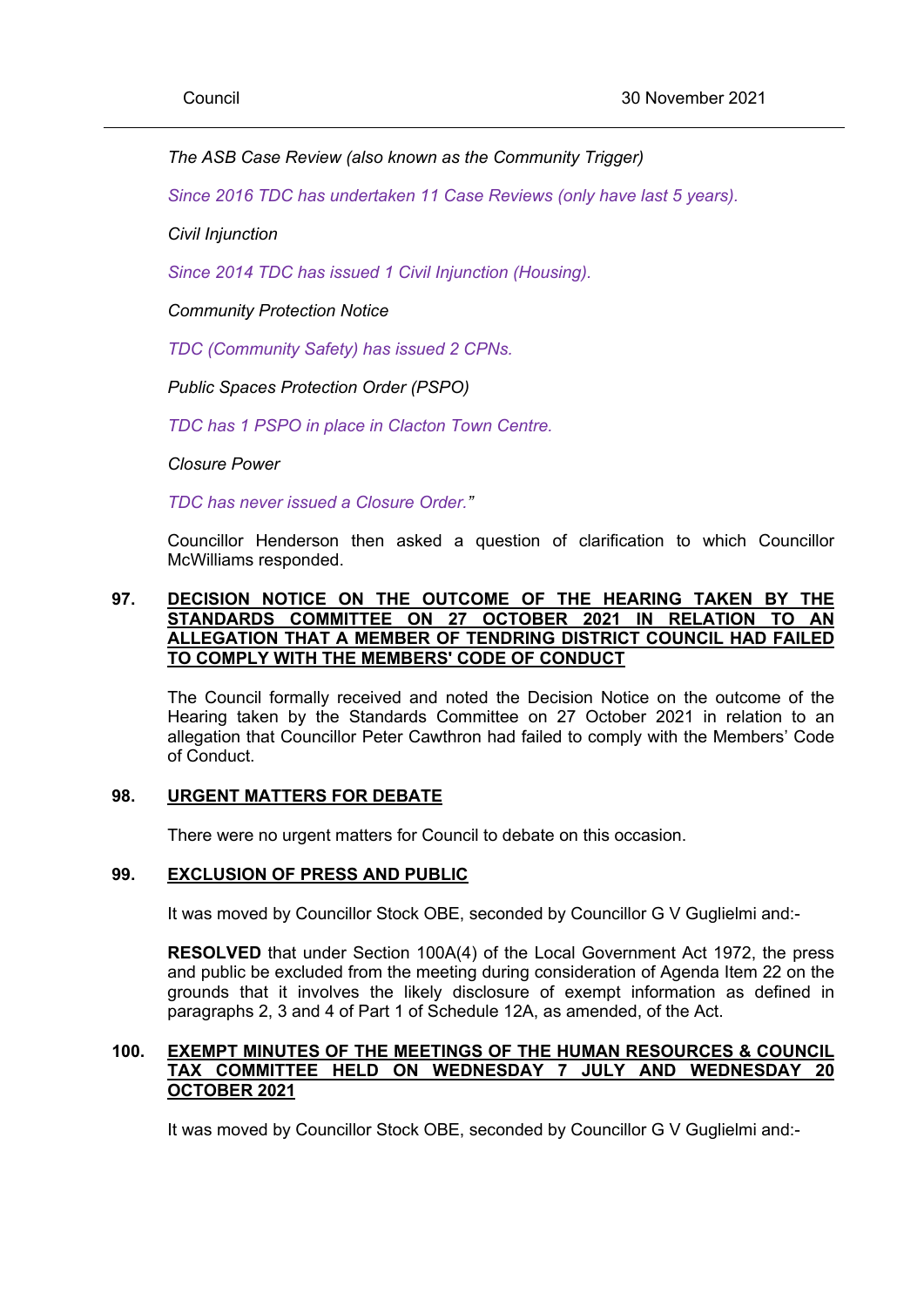# *The ASB Case Review (also known as the Community Trigger)*

*Since 2016 TDC has undertaken 11 Case Reviews (only have last 5 years).*

*Civil Injunction*

*Since 2014 TDC has issued 1 Civil Injunction (Housing).*

*Community Protection Notice*

*TDC (Community Safety) has issued 2 CPNs.*

*Public Spaces Protection Order (PSPO)*

*TDC has 1 PSPO in place in Clacton Town Centre.*

*Closure Power*

*TDC has never issued a Closure Order."*

Councillor Henderson then asked a question of clarification to which Councillor McWilliams responded.

# **97. DECISION NOTICE ON THE OUTCOME OF THE HEARING TAKEN BY THE STANDARDS COMMITTEE ON 27 OCTOBER 2021 IN RELATION TO AN ALLEGATION THAT A MEMBER OF TENDRING DISTRICT COUNCIL HAD FAILED TO COMPLY WITH THE MEMBERS' CODE OF CONDUCT**

The Council formally received and noted the Decision Notice on the outcome of the Hearing taken by the Standards Committee on 27 October 2021 in relation to an allegation that Councillor Peter Cawthron had failed to comply with the Members' Code of Conduct.

### **98. URGENT MATTERS FOR DEBATE**

There were no urgent matters for Council to debate on this occasion.

# **99. EXCLUSION OF PRESS AND PUBLIC**

It was moved by Councillor Stock OBE, seconded by Councillor G V Guglielmi and:-

**RESOLVED** that under Section 100A(4) of the Local Government Act 1972, the press and public be excluded from the meeting during consideration of Agenda Item 22 on the grounds that it involves the likely disclosure of exempt information as defined in paragraphs 2, 3 and 4 of Part 1 of Schedule 12A, as amended, of the Act.

# **100. EXEMPT MINUTES OF THE MEETINGS OF THE HUMAN RESOURCES & COUNCIL TAX COMMITTEE HELD ON WEDNESDAY 7 JULY AND WEDNESDAY 20 OCTOBER 2021**

It was moved by Councillor Stock OBE, seconded by Councillor G V Guglielmi and:-